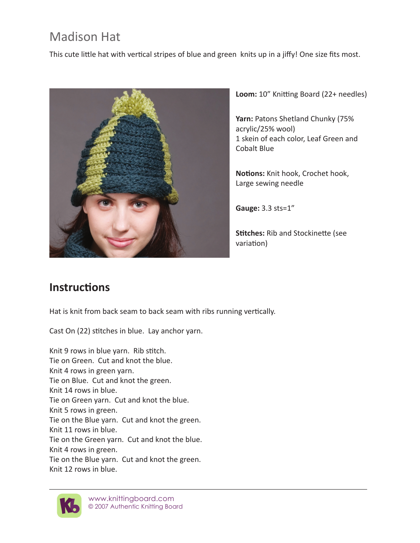# Madison Hat

This cute little hat with vertical stripes of blue and green knits up in a jiffy! One size fits most.



**Loom:** 10" Knitting Board (22+ needles)

**Yarn:** Patons Shetland Chunky (75% acrylic/25% wool) 1 skein of each color, Leaf Green and Cobalt Blue

**Notions:** Knit hook, Crochet hook, Large sewing needle

**Gauge:** 3.3 sts=1"

**Stitches:** Rib and Stockinette (see variation)

## **Instructions**

Hat is knit from back seam to back seam with ribs running vertically.

Cast On (22) stitches in blue. Lay anchor yarn.

Knit 9 rows in blue yarn. Rib stitch. Tie on Green. Cut and knot the blue. Knit 4 rows in green yarn. Tie on Blue. Cut and knot the green. Knit 14 rows in blue. Tie on Green yarn. Cut and knot the blue. Knit 5 rows in green. Tie on the Blue yarn. Cut and knot the green. Knit 11 rows in blue. Tie on the Green yarn. Cut and knot the blue. Knit 4 rows in green. Tie on the Blue yarn. Cut and knot the green. Knit 12 rows in blue.



www.knittingboard.com © 2007 Authentic Knitting Board